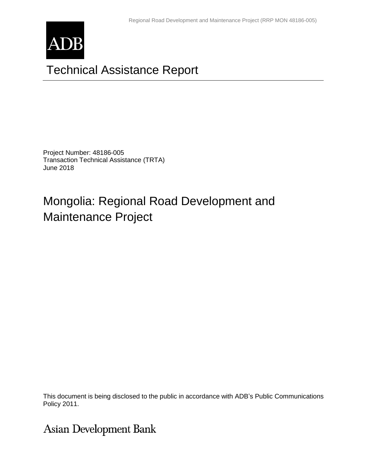

# Technical Assistance Report

Project Number: 48186-005 Transaction Technical Assistance (TRTA) June 2018

# Mongolia: Regional Road Development and Maintenance Project

This document is being disclosed to the public in accordance with ADB's Public Communications Policy 2011.

**Asian Development Bank**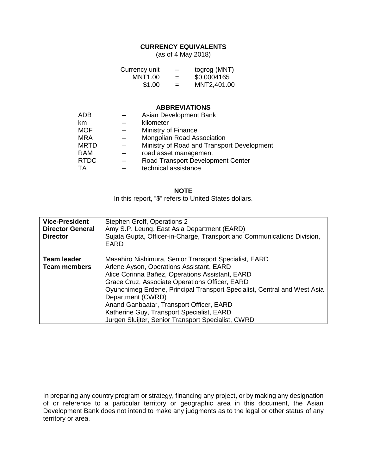### **CURRENCY EQUIVALENTS**

(as of 4 May 2018)

| Currency unit | $\overline{\phantom{0}}$ | togrog (MNT) |
|---------------|--------------------------|--------------|
| MNT1.00       | $=$                      | \$0.0004165  |
| \$1.00        | $=$                      | MNT2,401.00  |

#### **ABBREVIATIONS**

| ADB         | Asian Development Bank                     |
|-------------|--------------------------------------------|
| km          | kilometer                                  |
| <b>MOF</b>  | Ministry of Finance                        |
| <b>MRA</b>  | Mongolian Road Association                 |
| <b>MRTD</b> | Ministry of Road and Transport Development |
| RAM         | road asset management                      |
| <b>RTDC</b> | Road Transport Development Center          |
| TA          | technical assistance                       |

#### **NOTE**

In this report, "\$" refers to United States dollars.

| <b>Vice-President</b><br><b>Director General</b><br><b>Director</b> | Stephen Groff, Operations 2<br>Amy S.P. Leung, East Asia Department (EARD)<br>Sujata Gupta, Officer-in-Charge, Transport and Communications Division,<br><b>EARD</b>                                                                                                                                                                                                                                                                                   |
|---------------------------------------------------------------------|--------------------------------------------------------------------------------------------------------------------------------------------------------------------------------------------------------------------------------------------------------------------------------------------------------------------------------------------------------------------------------------------------------------------------------------------------------|
| Team leader<br><b>Team members</b>                                  | Masahiro Nishimura, Senior Transport Specialist, EARD<br>Arlene Ayson, Operations Assistant, EARD<br>Alice Corinna Bañez, Operations Assistant, EARD<br>Grace Cruz, Associate Operations Officer, EARD<br>Oyunchimeg Erdene, Principal Transport Specialist, Central and West Asia<br>Department (CWRD)<br>Anand Ganbaatar, Transport Officer, EARD<br>Katherine Guy, Transport Specialist, EARD<br>Jurgen Sluijter, Senior Transport Specialist, CWRD |

In preparing any country program or strategy, financing any project, or by making any designation of or reference to a particular territory or geographic area in this document, the Asian Development Bank does not intend to make any judgments as to the legal or other status of any territory or area.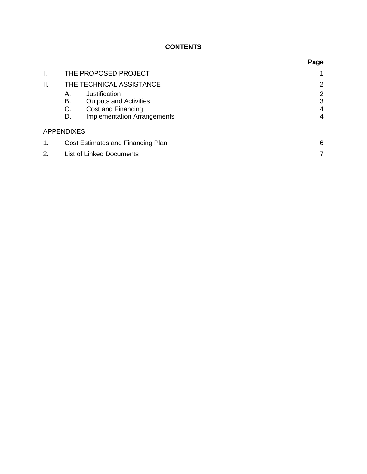# **CONTENTS**

|     |                                        |                                    | Page |  |
|-----|----------------------------------------|------------------------------------|------|--|
| Ι.  |                                        | THE PROPOSED PROJECT               |      |  |
| II. |                                        | THE TECHNICAL ASSISTANCE           | 2    |  |
|     | А.                                     | Justification                      | 2    |  |
|     | В.                                     | <b>Outputs and Activities</b>      | 3    |  |
|     | C.                                     | Cost and Financing                 | 4    |  |
|     | D.                                     | <b>Implementation Arrangements</b> | 4    |  |
|     | <b>APPENDIXES</b>                      |                                    |      |  |
| 1.  | Cost Estimates and Financing Plan<br>6 |                                    |      |  |
| 2.  |                                        | <b>List of Linked Documents</b>    |      |  |
|     |                                        |                                    |      |  |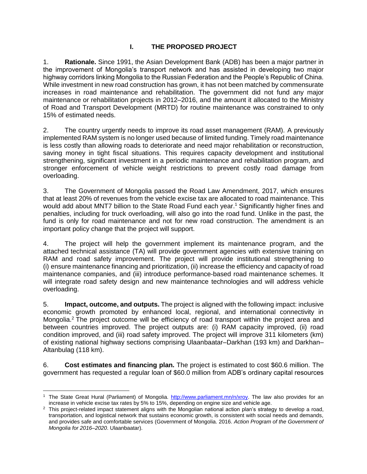## **I. THE PROPOSED PROJECT**

1. **Rationale.** Since 1991, the Asian Development Bank (ADB) has been a major partner in the improvement of Mongolia's transport network and has assisted in developing two major highway corridors linking Mongolia to the Russian Federation and the People's Republic of China. While investment in new road construction has grown, it has not been matched by commensurate increases in road maintenance and rehabilitation. The government did not fund any major maintenance or rehabilitation projects in 2012–2016, and the amount it allocated to the Ministry of Road and Transport Development (MRTD) for routine maintenance was constrained to only 15% of estimated needs.

2. The country urgently needs to improve its road asset management (RAM). A previously implemented RAM system is no longer used because of limited funding. Timely road maintenance is less costly than allowing roads to deteriorate and need major rehabilitation or reconstruction, saving money in tight fiscal situations. This requires capacity development and institutional strengthening, significant investment in a periodic maintenance and rehabilitation program, and stronger enforcement of vehicle weight restrictions to prevent costly road damage from overloading.

3. The Government of Mongolia passed the Road Law Amendment, 2017, which ensures that at least 20% of revenues from the vehicle excise tax are allocated to road maintenance. This would add about MNT7 billion to the State Road Fund each year.<sup>1</sup> Significantly higher fines and penalties, including for truck overloading, will also go into the road fund. Unlike in the past, the fund is only for road maintenance and not for new road construction. The amendment is an important policy change that the project will support.

4. The project will help the government implement its maintenance program, and the attached technical assistance (TA) will provide government agencies with extensive training on RAM and road safety improvement. The project will provide institutional strengthening to (i) ensure maintenance financing and prioritization, (ii) increase the efficiency and capacity of road maintenance companies, and (iii) introduce performance-based road maintenance schemes. It will integrate road safety design and new maintenance technologies and will address vehicle overloading.

5. **Impact, outcome, and outputs.** The project is aligned with the following impact: inclusive economic growth promoted by enhanced local, regional, and international connectivity in Mongolia.<sup>2</sup> The project outcome will be efficiency of road transport within the project area and between countries improved. The project outputs are: (i) RAM capacity improved, (ii) road condition improved, and (iii) road safety improved. The project will improve 311 kilometers (km) of existing national highway sections comprising Ulaanbaatar–Darkhan (193 km) and Darkhan– Altanbulag (118 km).

6. **Cost estimates and financing plan.** The project is estimated to cost \$60.6 million. The government has requested a regular loan of \$60.0 million from ADB's ordinary capital resources

 <sup>1</sup> The State Great Hural (Parliament) of Mongolia. [http://www.parliament.mn/n/xroy.](http://www.parliament.mn/n/xroy) The law also provides for an increase in vehicle excise tax rates by 5% to 15%, depending on engine size and vehicle age.

<sup>&</sup>lt;sup>2</sup> This proiect-related impact statement aligns with the Mongolian national action plan's strategy to develop a road, transportation, and logistical network that sustains economic growth, is consistent with social needs and demands, and provides safe and comfortable services (Government of Mongolia. 2016. *Action Program of the Government of Mongolia for 2016–2020*. Ulaanbaatar).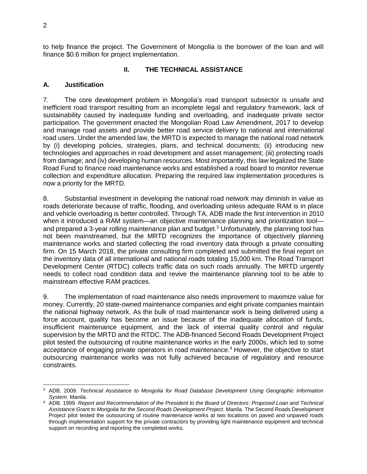to help finance the project. The Government of Mongolia is the borrower of the loan and will finance \$0.6 million for project implementation.

#### **II. THE TECHNICAL ASSISTANCE**

#### **A. Justification**

7. The core development problem in Mongolia's road transport subsector is unsafe and inefficient road transport resulting from an incomplete legal and regulatory framework, lack of sustainability caused by inadequate funding and overloading, and inadequate private sector participation. The government enacted the Mongolian Road Law Amendment, 2017 to develop and manage road assets and provide better road service delivery to national and international road users. Under the amended law, the MRTD is expected to manage the national road network by (i) developing policies, strategies, plans, and technical documents; (ii) introducing new technologies and approaches in road development and asset management; (iii) protecting roads from damage; and (iv) developing human resources. Most importantly, this law legalized the State Road Fund to finance road maintenance works and established a road board to monitor revenue collection and expenditure allocation. Preparing the required law implementation procedures is now a priority for the MRTD.

8. Substantial investment in developing the national road network may diminish in value as roads deteriorate because of traffic, flooding, and overloading unless adequate RAM is in place and vehicle overloading is better controlled. Through TA, ADB made the first intervention in 2010 when it introduced a RAM system—an objective maintenance planning and prioritization tool and prepared a 3-year rolling maintenance plan and budget.<sup>3</sup> Unfortunately, the planning tool has not been mainstreamed, but the MRTD recognizes the importance of objectively planning maintenance works and started collecting the road inventory data through a private consulting firm. On 15 March 2018, the private consulting firm completed and submitted the final report on the inventory data of all international and national roads totaling 15,000 km. The Road Transport Development Center (RTDC) collects traffic data on such roads annually. The MRTD urgently needs to collect road condition data and revive the maintenance planning tool to be able to mainstream effective RAM practices.

9. The implementation of road maintenance also needs improvement to maximize value for money. Currently, 20 state-owned maintenance companies and eight private companies maintain the national highway network. As the bulk of road maintenance work is being delivered using a force account, quality has become an issue because of the inadequate allocation of funds, insufficient maintenance equipment, and the lack of internal quality control and regular supervision by the MRTD and the RTDC. The ADB-financed Second Roads Development Project pilot tested the outsourcing of routine maintenance works in the early 2000s, which led to some acceptance of engaging private operators in road maintenance.<sup>4</sup> However, the objective to start outsourcing maintenance works was not fully achieved because of regulatory and resource constraints.

 <sup>3</sup> ADB. 2009. *Technical Assistance to Mongolia for Road Database Development Using Geographic Information System*. Manila.

<sup>4</sup> ADB. 1999. *Report and Recommendation of the President to the Board of Directors: Proposed Loan and Technical Assistance Grant to Mongolia for the Second Roads Development Project*. Manila. The Second Roads Development Project pilot tested the outsourcing of routine maintenance works at two locations on paved and unpaved roads through implementation support for the private contractors by providing light maintenance equipment and technical support on recording and reporting the completed works.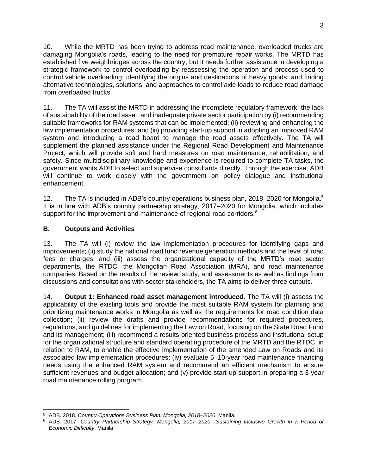10. While the MRTD has been trying to address road maintenance, overloaded trucks are damaging Mongolia's roads, leading to the need for premature repair works. The MRTD has established five weighbridges across the country, but it needs further assistance in developing a strategic framework to control overloading by reassessing the operation and process used to control vehicle overloading; identifying the origins and destinations of heavy goods; and finding alternative technologies, solutions, and approaches to control axle loads to reduce road damage from overloaded trucks.

11. The TA will assist the MRTD in addressing the incomplete regulatory framework, the lack of sustainability of the road asset, and inadequate private sector participation by (i) recommending suitable frameworks for RAM systems that can be implemented; (ii) reviewing and enhancing the law implementation procedures; and (iii) providing start-up support in adopting an improved RAM system and introducing a road board to manage the road assets effectively. The TA will supplement the planned assistance under the Regional Road Development and Maintenance Project, which will provide soft and hard measures on road maintenance, rehabilitation, and safety. Since multidisciplinary knowledge and experience is required to complete TA tasks, the government wants ADB to select and supervise consultants directly. Through the exercise, ADB will continue to work closely with the government on policy dialogue and institutional enhancement.

12. The TA is included in ADB's country operations business plan, 2018–2020 for Mongolia.<sup>5</sup> It is in line with ADB's country partnership strategy, 2017–2020 for Mongolia, which includes support for the improvement and maintenance of regional road corridors.<sup>6</sup>

### **B. Outputs and Activities**

13. The TA will (i) review the law implementation procedures for identifying gaps and improvements; (ii) study the national road fund revenue generation methods and the level of road fees or charges; and (iii) assess the organizational capacity of the MRTD's road sector departments, the RTDC, the Mongolian Road Association (MRA), and road maintenance companies. Based on the results of the review, study, and assessments as well as findings from discussions and consultations with sector stakeholders, the TA aims to deliver three outputs.

14. **Output 1: Enhanced road asset management introduced.** The TA will (i) assess the applicability of the existing tools and provide the most suitable RAM system for planning and prioritizing maintenance works in Mongolia as well as the requirements for road condition data collection; (ii) review the drafts and provide recommendations for required procedures, regulations, and guidelines for implementing the Law on Road, focusing on the State Road Fund and its management; (iii) recommend a results-oriented business process and institutional setup for the organizational structure and standard operating procedure of the MRTD and the RTDC, in relation to RAM, to enable the effective implementation of the amended Law on Roads and its associated law implementation procedures; (iv) evaluate 5–10-year road maintenance financing needs using the enhanced RAM system and recommend an efficient mechanism to ensure sufficient revenues and budget allocation; and (v) provide start-up support in preparing a 3-year road maintenance rolling program.

 <sup>5</sup> ADB. 2018. *Country Operations Business Plan: Mongolia, 2018–2020*. Manila.

<sup>6</sup> ADB. 2017. *Country Partnership Strategy: Mongolia, 2017–2020—Sustaining Inclusive Growth in a Period of Economic Difficulty*. Manila.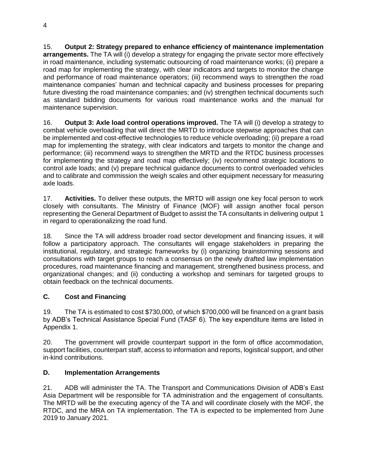15. **Output 2: Strategy prepared to enhance efficiency of maintenance implementation arrangements.** The TA will (i) develop a strategy for engaging the private sector more effectively in road maintenance, including systematic outsourcing of road maintenance works; (ii) prepare a road map for implementing the strategy, with clear indicators and targets to monitor the change and performance of road maintenance operators; (iii) recommend ways to strengthen the road maintenance companies' human and technical capacity and business processes for preparing future divesting the road maintenance companies; and (iv) strengthen technical documents such as standard bidding documents for various road maintenance works and the manual for maintenance supervision.

16. **Output 3: Axle load control operations improved.** The TA will (i) develop a strategy to combat vehicle overloading that will direct the MRTD to introduce stepwise approaches that can be implemented and cost-effective technologies to reduce vehicle overloading; (ii) prepare a road map for implementing the strategy, with clear indicators and targets to monitor the change and performance; (iii) recommend ways to strengthen the MRTD and the RTDC business processes for implementing the strategy and road map effectively; (iv) recommend strategic locations to control axle loads; and (v) prepare technical guidance documents to control overloaded vehicles and to calibrate and commission the weigh scales and other equipment necessary for measuring axle loads.

17. **Activities.** To deliver these outputs, the MRTD will assign one key focal person to work closely with consultants. The Ministry of Finance (MOF) will assign another focal person representing the General Department of Budget to assist the TA consultants in delivering output 1 in regard to operationalizing the road fund.

18. Since the TA will address broader road sector development and financing issues, it will follow a participatory approach. The consultants will engage stakeholders in preparing the institutional, regulatory, and strategic frameworks by (i) organizing brainstorming sessions and consultations with target groups to reach a consensus on the newly drafted law implementation procedures, road maintenance financing and management, strengthened business process, and organizational changes; and (ii) conducting a workshop and seminars for targeted groups to obtain feedback on the technical documents.

# **C. Cost and Financing**

19. The TA is estimated to cost \$730,000, of which \$700,000 will be financed on a grant basis by ADB's Technical Assistance Special Fund (TASF 6). The key expenditure items are listed in Appendix 1.

20. The government will provide counterpart support in the form of office accommodation, support facilities, counterpart staff, access to information and reports, logistical support, and other in-kind contributions.

## **D. Implementation Arrangements**

21. ADB will administer the TA. The Transport and Communications Division of ADB's East Asia Department will be responsible for TA administration and the engagement of consultants. The MRTD will be the executing agency of the TA and will coordinate closely with the MOF, the RTDC, and the MRA on TA implementation. The TA is expected to be implemented from June 2019 to January 2021.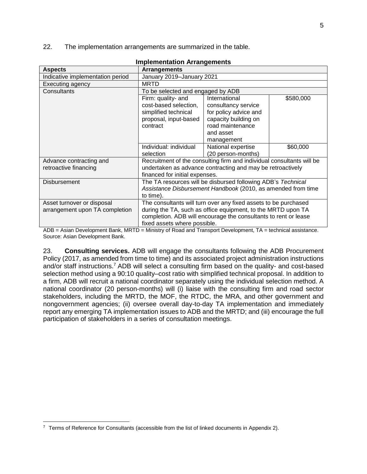22. The implementation arrangements are summarized in the table.

| <u>IIIIpielilelitation Arrangelilelits</u> |                                                                       |                                                              |           |
|--------------------------------------------|-----------------------------------------------------------------------|--------------------------------------------------------------|-----------|
| <b>Aspects</b>                             | <b>Arrangements</b>                                                   |                                                              |           |
| Indicative implementation period           | January 2019-January 2021                                             |                                                              |           |
| Executing agency                           | <b>MRTD</b>                                                           |                                                              |           |
| Consultants                                | To be selected and engaged by ADB                                     |                                                              |           |
|                                            | Firm: quality- and                                                    | International                                                | \$580,000 |
|                                            | cost-based selection,                                                 | consultancy service                                          |           |
|                                            | simplified technical                                                  | for policy advice and                                        |           |
|                                            | proposal, input-based                                                 | capacity building on                                         |           |
|                                            | contract                                                              | road maintenance                                             |           |
|                                            |                                                                       | and asset                                                    |           |
|                                            |                                                                       | management                                                   |           |
|                                            | Individual: individual                                                | National expertise                                           | \$60,000  |
|                                            | selection                                                             | (20 person-months)                                           |           |
| Advance contracting and                    | Recruitment of the consulting firm and individual consultants will be |                                                              |           |
| retroactive financing                      | undertaken as advance contracting and may be retroactively            |                                                              |           |
|                                            | financed for initial expenses.                                        |                                                              |           |
| <b>Disbursement</b>                        | The TA resources will be disbursed following ADB's Technical          |                                                              |           |
|                                            |                                                                       | Assistance Disbursement Handbook (2010, as amended from time |           |
|                                            | to time).                                                             |                                                              |           |
| Asset turnover or disposal                 | The consultants will turn over any fixed assets to be purchased       |                                                              |           |
| arrangement upon TA completion             | during the TA, such as office equipment, to the MRTD upon TA          |                                                              |           |
|                                            | completion. ADB will encourage the consultants to rent or lease       |                                                              |           |
|                                            | fixed assets where possible.                                          |                                                              |           |

|  |  | <b>Implementation Arrangements</b> |  |
|--|--|------------------------------------|--|
|  |  |                                    |  |

ADB = Asian Development Bank, MRTD = Ministry of Road and Transport Development, TA = technical assistance. Source: Asian Development Bank.

23. **Consulting services.** ADB will engage the consultants following the ADB Procurement Policy (2017, as amended from time to time) and its associated project administration instructions and/or staff instructions.<sup>7</sup> ADB will select a consulting firm based on the quality- and cost-based selection method using a 90:10 quality–cost ratio with simplified technical proposal. In addition to a firm, ADB will recruit a national coordinator separately using the individual selection method. A national coordinator (20 person-months) will (i) liaise with the consulting firm and road sector stakeholders, including the MRTD, the MOF, the RTDC, the MRA, and other government and nongovernment agencies; (ii) oversee overall day-to-day TA implementation and immediately report any emerging TA implementation issues to ADB and the MRTD; and (iii) encourage the full participation of stakeholders in a series of consultation meetings.

<sup>&</sup>lt;sup>7</sup> Terms of Reference for Consultants (accessible from the list of linked documents in Appendix 2).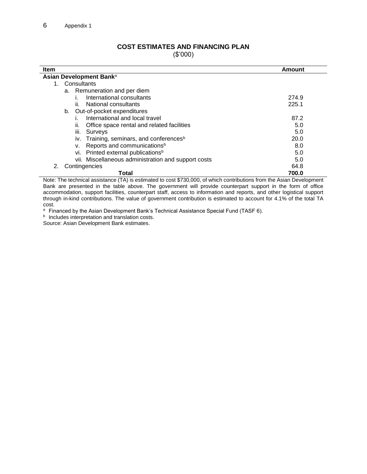## **COST ESTIMATES AND FINANCING PLAN**

(\$'000)

<span id="page-9-0"></span>

| <b>Item</b>                                          | Amount |
|------------------------------------------------------|--------|
| Asian Development Bank <sup>a</sup>                  |        |
| 1. Consultants                                       |        |
| a. Remuneration and per diem                         |        |
| International consultants                            | 274.9  |
| National consultants<br>ÎĹ.                          | 225.1  |
| b. Out-of-pocket expenditures                        |        |
| International and local travel                       | 87.2   |
| Office space rental and related facilities<br>н.     | 5.0    |
| Surveys<br>Ш.                                        | 5.0    |
| iv. Training, seminars, and conferences <sup>b</sup> | 20.0   |
| Reports and communications <sup>b</sup><br>v.        | 8.0    |
| vi. Printed external publications <sup>b</sup>       | 5.0    |
| vii. Miscellaneous administration and support costs  | 5.0    |
| Contingencies<br>2.                                  | 64.8   |
| Total                                                | 700.0  |

Note: The technical assistance (TA) is estimated to cost \$730,000, of which contributions from the Asian Development Bank are presented in the table above. The government will provide counterpart support in the form of office accommodation, support facilities, counterpart staff, access to information and reports, and other logistical support through in-kind contributions. The value of government contribution is estimated to account for 4.1% of the total TA cost.

a Financed by the Asian Development Bank's Technical Assistance Special Fund (TASF 6).

**b** Includes interpretation and translation costs.

Source: Asian Development Bank estimates.